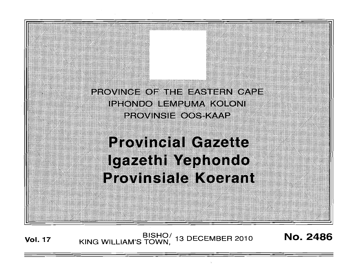PROVINCE OF THE EASTERN CAPE IPHONDO LEMPUMA KOLONI provinsibioos kavip

**Provincial Gazette** Igazethi Yephondo **Provinsiale Koerant** 

Vol. 17 KING WILLIAM'S TOWN, 13 DECEMBER 2010 **No. 2486** 

· ..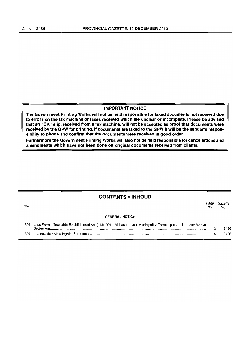## IMPORTANT NOTICE

The Government Printing Works will not be held responsible for faxed documents not received due to errors on the fax machine or faxes received which are unclear or incomplete. Please be advised that an "OK" slip, received from a fax machine, will not be accepted as proof that documents were received by the GPW for printing. If documents are faxed to the GPW it will be the sender's responsibility to phone and confirm that the documents were received in good order.

Furthermore the Government Printing Works will also not be held responsible for cancellations and amendments which have not been done on original documents received from clients.

## CONTENTS ·INHOUD

| No. |                                                                                                                             | No | Gazette<br>No. |
|-----|-----------------------------------------------------------------------------------------------------------------------------|----|----------------|
|     | <b>GENERAL NOTICE</b>                                                                                                       |    |                |
| 394 | Less Formal Township Establishment Act (113/1991): Mbhashe Local Municipality: Township establishment: Mboya<br>Settlement. |    | 2486           |
|     |                                                                                                                             |    | 2486           |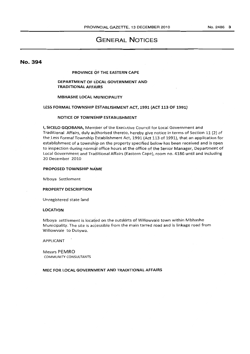# GENERAL NOTICES

## No. 394

## PROVINCE OF THE EASTERN CAPE

## DEPARTMENT OF LOCAL GOVERNMENT AND TRADITIONAL AFFAIRS

#### MBHASHE LOCAL MUNICIPALITY

## LESS FORMAL TOWNSHIP ESTABLISHMENT ACT, 1991 (ACT 113 OF 1991)

## NOTICE OF TOWNSHIP ESTABLISHMENT

I, SICElO GQOBANA, Member of the Executive Council for Local Government and Traditional Affairs, duly authorised thereto, hereby give notice in terms of Section 11 (2) of the Less Formal Township Establishment Act, 1991 (Act 113 of 1991), that an application for establishment of a township on the property specified below has been received and is open to inspection during normal office hours at the office of the Senior Manager, Department of Local Government and Traditional Affairs (Eastern Cape), room no. 4186 until and including 20 December 2010

### PROPOSED TOWNSHIP NAME

Mboya Settlement

### PROPERTY DESCRIPTION

Unregistered state land

## LOCATION

Mboya settlement is located on the outskirts of Willowvale town within Mbhashe Municipality. The site is accessible from the main tarred road and is linkage road from Willowvale to Dutywa.

#### APPLICANT

Messrs PEMRO COMMUNITY CONSULTANTS

### MEC FOR LOCAL GOVERNMENT AND TRADITIONAL AFFAIRS